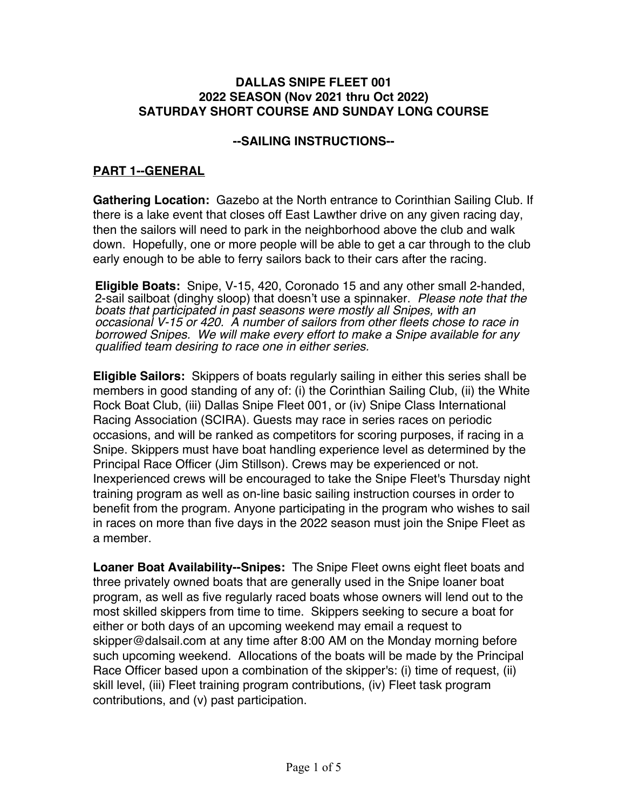### **DALLAS SNIPE FLEET 001 2022 SEASON (Nov 2021 thru Oct 2022) SATURDAY SHORT COURSE AND SUNDAY LONG COURSE**

### **--SAILING INSTRUCTIONS--**

## **PART 1--GENERAL**

**Gathering Location:** Gazebo at the North entrance to Corinthian Sailing Club. If there is a lake event that closes off East Lawther drive on any given racing day, then the sailors will need to park in the neighborhood above the club and walk down. Hopefully, one or more people will be able to get a car through to the club early enough to be able to ferry sailors back to their cars after the racing.

**Eligible Boats:** Snipe, V-15, 420, Coronado 15 and any other small 2-handed, 2-sail sailboat (dinghy sloop) that doesn't use a spinnaker. *Please note that the boats that participated in past seasons were mostly all Snipes, with an occasional V-15 or 420. A number of sailors from other fleets chose to race in borrowed Snipes. We will make every effort to make a Snipe available for any qualified team desiring to race one in either series.*

**Eligible Sailors:** Skippers of boats regularly sailing in either this series shall be members in good standing of any of: (i) the Corinthian Sailing Club, (ii) the White Rock Boat Club, (iii) Dallas Snipe Fleet 001, or (iv) Snipe Class International Racing Association (SCIRA). Guests may race in series races on periodic occasions, and will be ranked as competitors for scoring purposes, if racing in a Snipe. Skippers must have boat handling experience level as determined by the Principal Race Officer (Jim Stillson). Crews may be experienced or not. Inexperienced crews will be encouraged to take the Snipe Fleet's Thursday night training program as well as on-line basic sailing instruction courses in order to benefit from the program. Anyone participating in the program who wishes to sail in races on more than five days in the 2022 season must join the Snipe Fleet as a member.

**Loaner Boat Availability--Snipes:** The Snipe Fleet owns eight fleet boats and three privately owned boats that are generally used in the Snipe loaner boat program, as well as five regularly raced boats whose owners will lend out to the most skilled skippers from time to time. Skippers seeking to secure a boat for either or both days of an upcoming weekend may email a request to skipper@dalsail.com at any time after 8:00 AM on the Monday morning before such upcoming weekend. Allocations of the boats will be made by the Principal Race Officer based upon a combination of the skipper's: (i) time of request, (ii) skill level, (iii) Fleet training program contributions, (iv) Fleet task program contributions, and (v) past participation.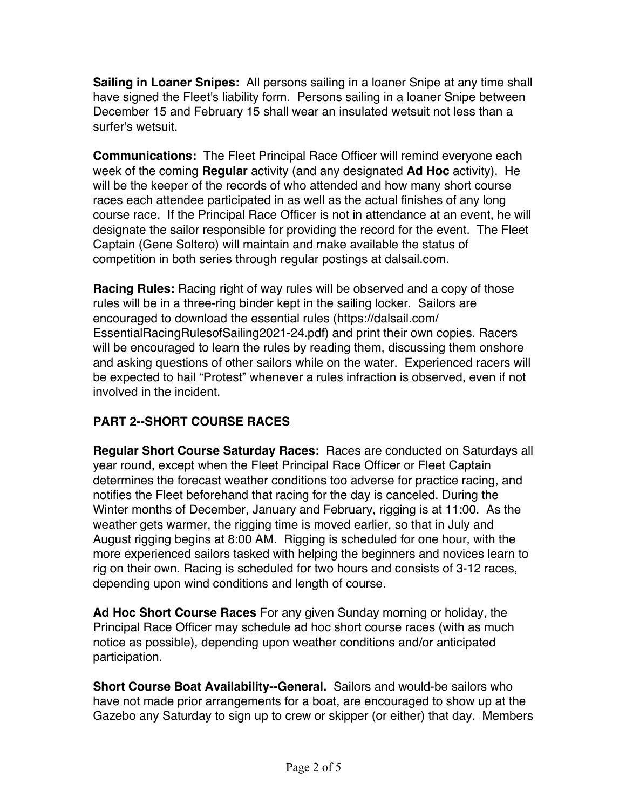**Sailing in Loaner Snipes:** All persons sailing in a loaner Snipe at any time shall have signed the Fleet's liability form. Persons sailing in a loaner Snipe between December 15 and February 15 shall wear an insulated wetsuit not less than a surfer's wetsuit.

**Communications:** The Fleet Principal Race Officer will remind everyone each week of the coming **Regular** activity (and any designated **Ad Hoc** activity). He will be the keeper of the records of who attended and how many short course races each attendee participated in as well as the actual finishes of any long course race. If the Principal Race Officer is not in attendance at an event, he will designate the sailor responsible for providing the record for the event. The Fleet Captain (Gene Soltero) will maintain and make available the status of competition in both series through regular postings at dalsail.com.

**Racing Rules:** Racing right of way rules will be observed and a copy of those rules will be in a three-ring binder kept in the sailing locker. Sailors are encouraged to download the essential rules (https://dalsail.com/ EssentialRacingRulesofSailing2021-24.pdf) and print their own copies. Racers will be encouraged to learn the rules by reading them, discussing them onshore and asking questions of other sailors while on the water. Experienced racers will be expected to hail "Protest" whenever a rules infraction is observed, even if not involved in the incident.

## **PART 2--SHORT COURSE RACES**

**Regular Short Course Saturday Races:** Races are conducted on Saturdays all year round, except when the Fleet Principal Race Officer or Fleet Captain determines the forecast weather conditions too adverse for practice racing, and notifies the Fleet beforehand that racing for the day is canceled. During the Winter months of December, January and February, rigging is at 11:00. As the weather gets warmer, the rigging time is moved earlier, so that in July and August rigging begins at 8:00 AM. Rigging is scheduled for one hour, with the more experienced sailors tasked with helping the beginners and novices learn to rig on their own. Racing is scheduled for two hours and consists of 3-12 races, depending upon wind conditions and length of course.

**Ad Hoc Short Course Races** For any given Sunday morning or holiday, the Principal Race Officer may schedule ad hoc short course races (with as much notice as possible), depending upon weather conditions and/or anticipated participation.

**Short Course Boat Availability--General.** Sailors and would-be sailors who have not made prior arrangements for a boat, are encouraged to show up at the Gazebo any Saturday to sign up to crew or skipper (or either) that day. Members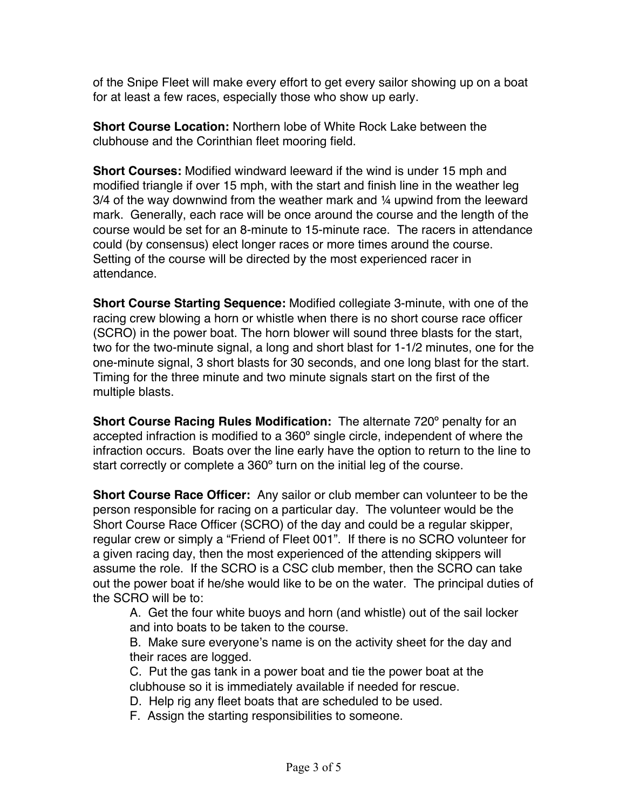of the Snipe Fleet will make every effort to get every sailor showing up on a boat for at least a few races, especially those who show up early.

**Short Course Location:** Northern lobe of White Rock Lake between the clubhouse and the Corinthian fleet mooring field.

**Short Courses:** Modified windward leeward if the wind is under 15 mph and modified triangle if over 15 mph, with the start and finish line in the weather leg 3/4 of the way downwind from the weather mark and ¼ upwind from the leeward mark. Generally, each race will be once around the course and the length of the course would be set for an 8-minute to 15-minute race. The racers in attendance could (by consensus) elect longer races or more times around the course. Setting of the course will be directed by the most experienced racer in attendance.

**Short Course Starting Sequence:** Modified collegiate 3-minute, with one of the racing crew blowing a horn or whistle when there is no short course race officer (SCRO) in the power boat. The horn blower will sound three blasts for the start, two for the two-minute signal, a long and short blast for 1-1/2 minutes, one for the one-minute signal, 3 short blasts for 30 seconds, and one long blast for the start. Timing for the three minute and two minute signals start on the first of the multiple blasts.

**Short Course Racing Rules Modification:** The alternate 720º penalty for an accepted infraction is modified to a 360º single circle, independent of where the infraction occurs. Boats over the line early have the option to return to the line to start correctly or complete a 360º turn on the initial leg of the course.

**Short Course Race Officer:** Any sailor or club member can volunteer to be the person responsible for racing on a particular day. The volunteer would be the Short Course Race Officer (SCRO) of the day and could be a regular skipper, regular crew or simply a "Friend of Fleet 001". If there is no SCRO volunteer for a given racing day, then the most experienced of the attending skippers will assume the role. If the SCRO is a CSC club member, then the SCRO can take out the power boat if he/she would like to be on the water. The principal duties of the SCRO will be to:

A. Get the four white buoys and horn (and whistle) out of the sail locker and into boats to be taken to the course.

B. Make sure everyone's name is on the activity sheet for the day and their races are logged.

C. Put the gas tank in a power boat and tie the power boat at the clubhouse so it is immediately available if needed for rescue.

D. Help rig any fleet boats that are scheduled to be used.

F. Assign the starting responsibilities to someone.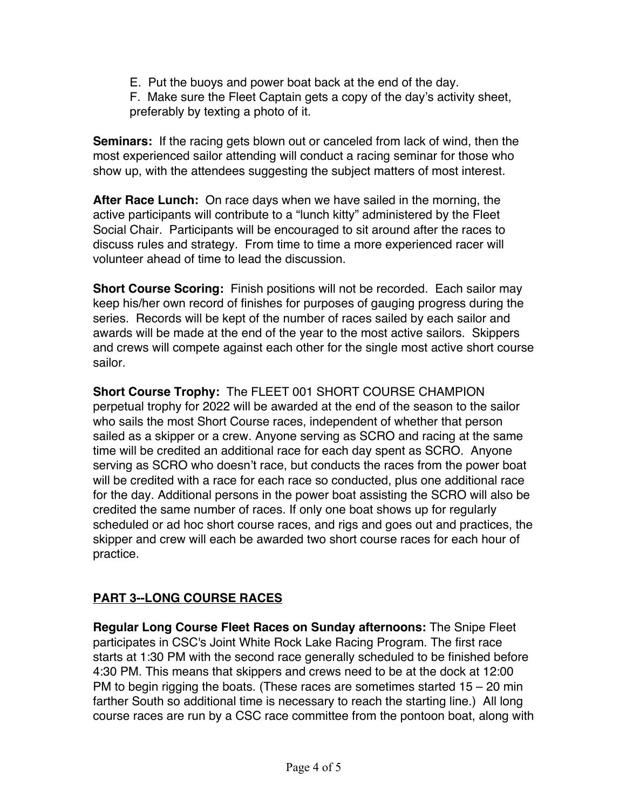- E. Put the buoys and power boat back at the end of the day.
- F. Make sure the Fleet Captain gets a copy of the day's activity sheet, preferably by texting a photo of it.

**Seminars:** If the racing gets blown out or canceled from lack of wind, then the most experienced sailor attending will conduct a racing seminar for those who show up, with the attendees suggesting the subject matters of most interest.

**After Race Lunch:** On race days when we have sailed in the morning, the active participants will contribute to a "lunch kitty" administered by the Fleet Social Chair. Participants will be encouraged to sit around after the races to discuss rules and strategy. From time to time a more experienced racer will volunteer ahead of time to lead the discussion.

**Short Course Scoring:** Finish positions will not be recorded. Each sailor may keep his/her own record of finishes for purposes of gauging progress during the series. Records will be kept of the number of races sailed by each sailor and awards will be made at the end of the year to the most active sailors. Skippers and crews will compete against each other for the single most active short course sailor.

**Short Course Trophy:** The FLEET 001 SHORT COURSE CHAMPION perpetual trophy for 2022 will be awarded at the end of the season to the sailor who sails the most Short Course races, independent of whether that person sailed as a skipper or a crew. Anyone serving as SCRO and racing at the same time will be credited an additional race for each day spent as SCRO. Anyone serving as SCRO who doesn't race, but conducts the races from the power boat will be credited with a race for each race so conducted, plus one additional race for the day. Additional persons in the power boat assisting the SCRO will also be credited the same number of races. If only one boat shows up for regularly scheduled or ad hoc short course races, and rigs and goes out and practices, the skipper and crew will each be awarded two short course races for each hour of practice.

# **PART 3--LONG COURSE RACES**

**Regular Long Course Fleet Races on Sunday afternoons:** The Snipe Fleet participates in CSC's Joint White Rock Lake Racing Program. The first race starts at 1:30 PM with the second race generally scheduled to be finished before 4:30 PM. This means that skippers and crews need to be at the dock at 12:00 PM to begin rigging the boats. (These races are sometimes started  $15 - 20$  min farther South so additional time is necessary to reach the starting line.) All long course races are run by a CSC race committee from the pontoon boat, along with